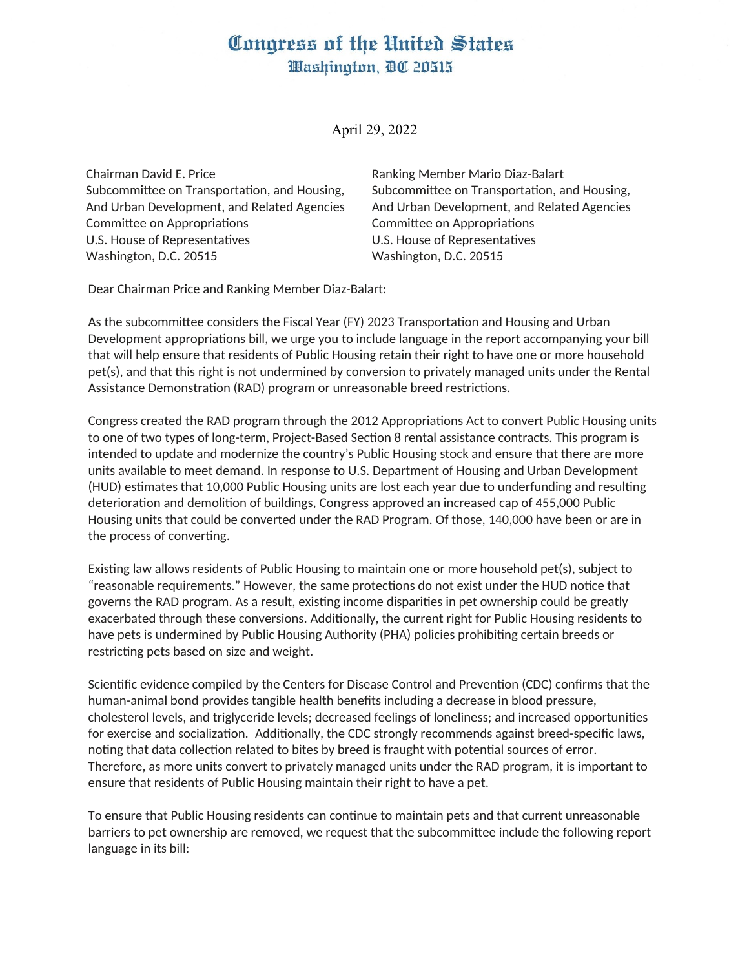## Congress of the United States Washington, DC 20515

April 29, 2022

Chairman David E. Price Subcommittee on Transportation, and Housing, And Urban Development, and Related Agencies Committee on Appropriations U.S. House of Representatives Washington, D.C. 20515

Ranking Member Mario Diaz-Balart Subcommittee on Transportation, and Housing, And Urban Development, and Related Agencies Committee on Appropriations U.S. House of Representatives Washington, D.C. 20515

Dear Chairman Price and Ranking Member Diaz-Balart:

As the subcommittee considers the Fiscal Year (FY) 2023 Transportation and Housing and Urban Development appropriations bill, we urge you to include language in the report accompanying your bill that will help ensure that residents of Public Housing retain their right to have one or more household pet(s), and that this right is not undermined by conversion to privately managed units under the Rental Assistance Demonstration (RAD) program or unreasonable breed restrictions.

Congress created the RAD program through the 2012 Appropriations Act to convert Public Housing units to one of two types of long-term, Project-Based Section 8 rental assistance contracts. This program is intended to update and modernize the country's Public Housing stock and ensure that there are more units available to meet demand. In response to U.S. Department of Housing and Urban Development (HUD) estimates that 10,000 Public Housing units are lost each year due to underfunding and resulting deterioration and demolition of buildings, Congress approved an increased cap of 455,000 Public Housing units that could be converted under the RAD Program. Of those, 140,000 have been or are in the process of converting.

Existing law allows residents of Public Housing to maintain one or more household pet(s), subject to "reasonable requirements." However, the same protections do not exist under the HUD notice that governs the RAD program. As a result, existing income disparities in pet ownership could be greatly exacerbated through these conversions. Additionally, the current right for Public Housing residents to have pets is undermined by Public Housing Authority (PHA) policies prohibiting certain breeds or restricting pets based on size and weight.

Scientific evidence compiled by the Centers for Disease Control and Prevention (CDC) confirms that the human-animal bond provides tangible health benefits including a decrease in blood pressure, cholesterol levels, and triglyceride levels; decreased feelings of loneliness; and increased opportunities for exercise and socialization. Additionally, the CDC strongly recommends against breed-specific laws, noting that data collection related to bites by breed is fraught with potential sources of error. Therefore, as more units convert to privately managed units under the RAD program, it is important to ensure that residents of Public Housing maintain their right to have a pet.

To ensure that Public Housing residents can continue to maintain pets and that current unreasonable barriers to pet ownership are removed, we request that the subcommittee include the following report language in its bill: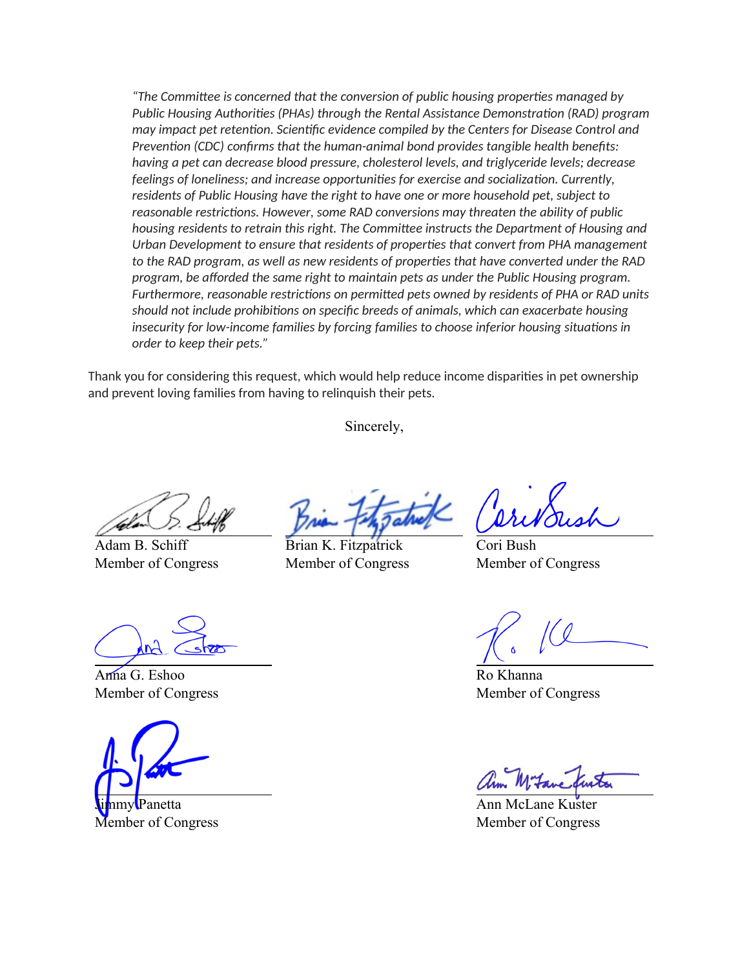*"The Committee is concerned that the conversion of public housing properties managed by Public Housing Authorities (PHAs) through the Rental Assistance Demonstration (RAD) program may impact pet retention. Scientific evidence compiled by the Centers for Disease Control and Prevention (CDC) confirms that the human-animal bond provides tangible health benefits: having a pet can decrease blood pressure, cholesterol levels, and triglyceride levels; decrease feelings of loneliness; and increase opportunities for exercise and socialization. Currently, residents of Public Housing have the right to have one or more household pet, subject to reasonable restrictions. However, some RAD conversions may threaten the ability of public housing residents to retrain this right. The Committee instructs the Department of Housing and Urban Development to ensure that residents of properties that convert from PHA management to the RAD program, as well as new residents of properties that have converted under the RAD program, be afforded the same right to maintain pets as under the Public Housing program. Furthermore, reasonable restrictions on permitted pets owned by residents of PHA or RAD units should not include prohibitions on specific breeds of animals, which can exacerbate housing insecurity for low-income families by forcing families to choose inferior housing situations in order to keep their pets."*

Thank you for considering this request, which would help reduce income disparities in pet ownership and prevent loving families from having to relinquish their pets.

Sincerely,

Adam B. Schiff Member of Congress

Brian K. Fitzpatrick Member of Congress

Cori Bush Member of Congress

Ro Khanna Member of Congress

Ann McLane Kuster Member of Congress

Anna G. Eshoo Member of Congress

anetta Member of Congress